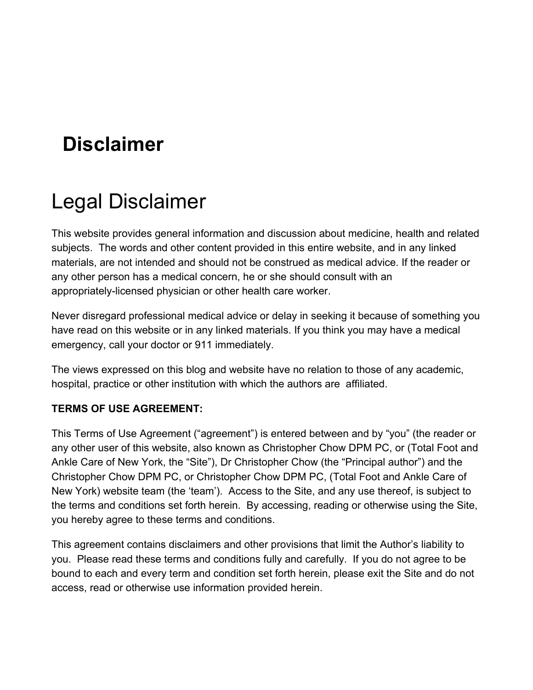## **Disclaimer**

# Legal Disclaimer

This website provides general information and discussion about medicine, health and related subjects. The words and other content provided in this entire website, and in any linked materials, are not intended and should not be construed as medical advice. If the reader or any other person has a medical concern, he or she should consult with an appropriately-licensed physician or other health care worker.

Never disregard professional medical advice or delay in seeking it because of something you have read on this website or in any linked materials. If you think you may have a medical emergency, call your doctor or 911 immediately.

The views expressed on this blog and website have no relation to those of any academic, hospital, practice or other institution with which the authors are affiliated.

## **TERMS OF USE AGREEMENT:**

This Terms of Use Agreement ("agreement") is entered between and by "you" (the reader or any other user of this website, also known as Christopher Chow DPM PC, or (Total Foot and Ankle Care of New York, the "Site"), Dr Christopher Chow (the "Principal author") and the Christopher Chow DPM PC, or Christopher Chow DPM PC, (Total Foot and Ankle Care of New York) website team (the 'team'). Access to the Site, and any use thereof, is subject to the terms and conditions set forth herein. By accessing, reading or otherwise using the Site, you hereby agree to these terms and conditions.

This agreement contains disclaimers and other provisions that limit the Author's liability to you. Please read these terms and conditions fully and carefully. If you do not agree to be bound to each and every term and condition set forth herein, please exit the Site and do not access, read or otherwise use information provided herein.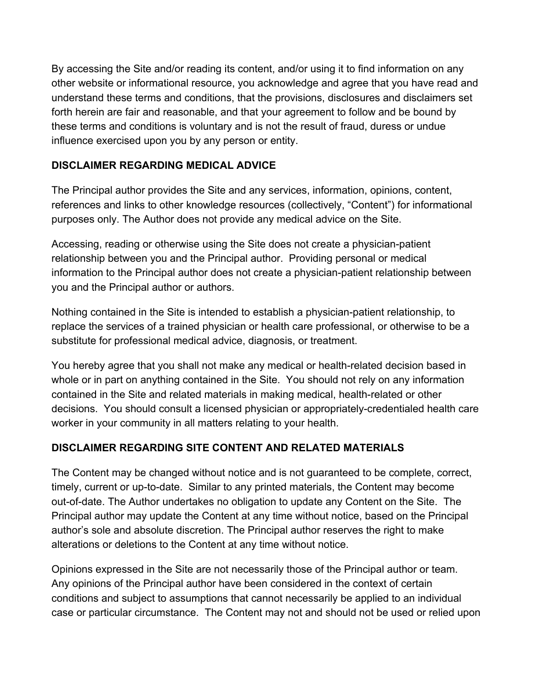By accessing the Site and/or reading its content, and/or using it to find information on any other website or informational resource, you acknowledge and agree that you have read and understand these terms and conditions, that the provisions, disclosures and disclaimers set forth herein are fair and reasonable, and that your agreement to follow and be bound by these terms and conditions is voluntary and is not the result of fraud, duress or undue influence exercised upon you by any person or entity.

## **DISCLAIMER REGARDING MEDICAL ADVICE**

The Principal author provides the Site and any services, information, opinions, content, references and links to other knowledge resources (collectively, "Content") for informational purposes only. The Author does not provide any medical advice on the Site.

Accessing, reading or otherwise using the Site does not create a physician-patient relationship between you and the Principal author. Providing personal or medical information to the Principal author does not create a physician-patient relationship between you and the Principal author or authors.

Nothing contained in the Site is intended to establish a physician-patient relationship, to replace the services of a trained physician or health care professional, or otherwise to be a substitute for professional medical advice, diagnosis, or treatment.

You hereby agree that you shall not make any medical or health-related decision based in whole or in part on anything contained in the Site. You should not rely on any information contained in the Site and related materials in making medical, health-related or other decisions. You should consult a licensed physician or appropriately-credentialed health care worker in your community in all matters relating to your health.

## **DISCLAIMER REGARDING SITE CONTENT AND RELATED MATERIALS**

The Content may be changed without notice and is not guaranteed to be complete, correct, timely, current or up-to-date. Similar to any printed materials, the Content may become out-of-date. The Author undertakes no obligation to update any Content on the Site. The Principal author may update the Content at any time without notice, based on the Principal author's sole and absolute discretion. The Principal author reserves the right to make alterations or deletions to the Content at any time without notice.

Opinions expressed in the Site are not necessarily those of the Principal author or team. Any opinions of the Principal author have been considered in the context of certain conditions and subject to assumptions that cannot necessarily be applied to an individual case or particular circumstance. The Content may not and should not be used or relied upon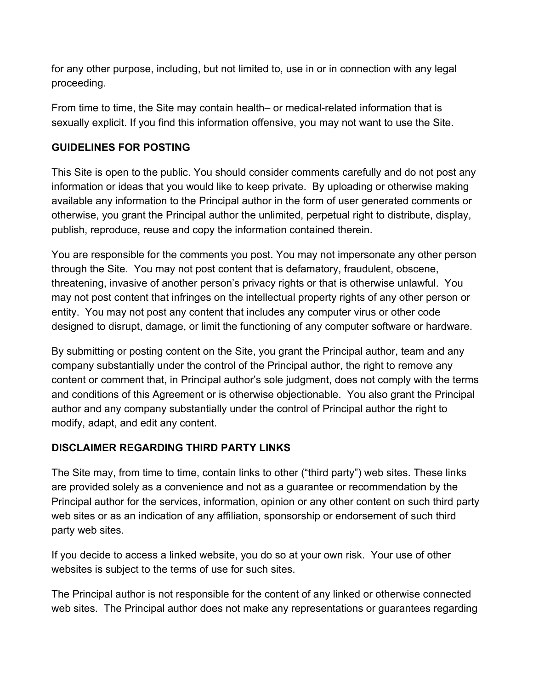for any other purpose, including, but not limited to, use in or in connection with any legal proceeding.

From time to time, the Site may contain health– or medical-related information that is sexually explicit. If you find this information offensive, you may not want to use the Site.

## **GUIDELINES FOR POSTING**

This Site is open to the public. You should consider comments carefully and do not post any information or ideas that you would like to keep private. By uploading or otherwise making available any information to the Principal author in the form of user generated comments or otherwise, you grant the Principal author the unlimited, perpetual right to distribute, display, publish, reproduce, reuse and copy the information contained therein.

You are responsible for the comments you post. You may not impersonate any other person through the Site. You may not post content that is defamatory, fraudulent, obscene, threatening, invasive of another person's privacy rights or that is otherwise unlawful. You may not post content that infringes on the intellectual property rights of any other person or entity. You may not post any content that includes any computer virus or other code designed to disrupt, damage, or limit the functioning of any computer software or hardware.

By submitting or posting content on the Site, you grant the Principal author, team and any company substantially under the control of the Principal author, the right to remove any content or comment that, in Principal author's sole judgment, does not comply with the terms and conditions of this Agreement or is otherwise objectionable. You also grant the Principal author and any company substantially under the control of Principal author the right to modify, adapt, and edit any content.

## **DISCLAIMER REGARDING THIRD PARTY LINKS**

The Site may, from time to time, contain links to other ("third party") web sites. These links are provided solely as a convenience and not as a guarantee or recommendation by the Principal author for the services, information, opinion or any other content on such third party web sites or as an indication of any affiliation, sponsorship or endorsement of such third party web sites.

If you decide to access a linked website, you do so at your own risk. Your use of other websites is subject to the terms of use for such sites.

The Principal author is not responsible for the content of any linked or otherwise connected web sites. The Principal author does not make any representations or guarantees regarding